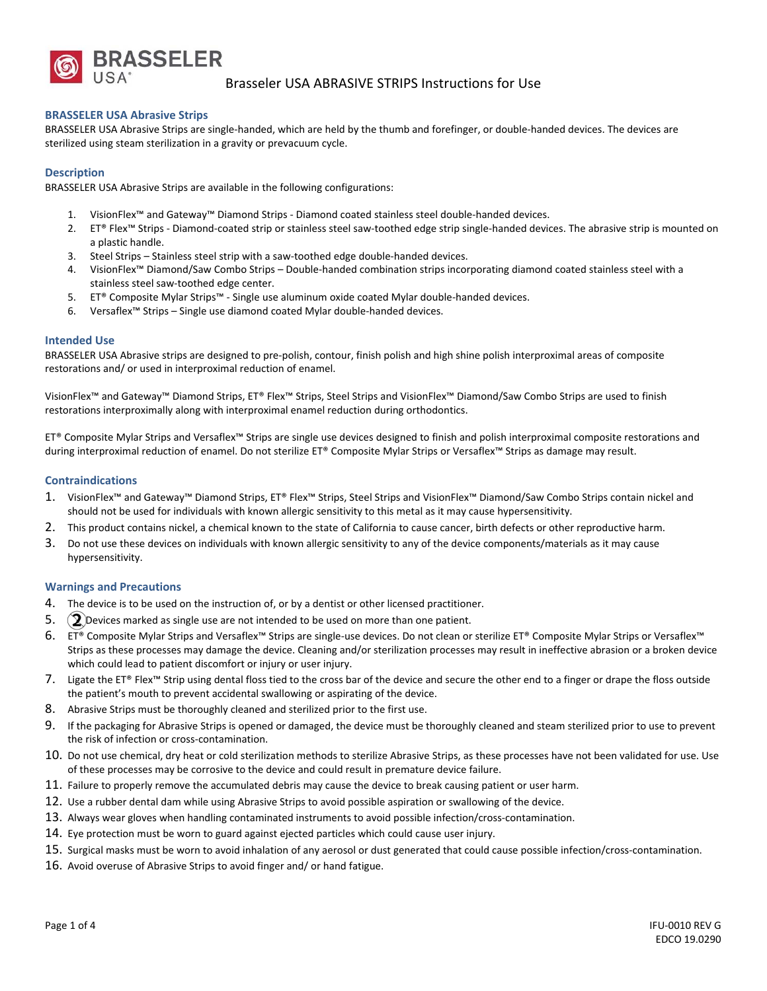

## Brasseler USA ABRASIVE STRIPS Instructions for Use

### **BRASSELER USA Abrasive Strips**

BRASSELER USA Abrasive Strips are single‐handed, which are held by the thumb and forefinger, or double‐handed devices. The devices are sterilized using steam sterilization in a gravity or prevacuum cycle.

### **Description**

BRASSELER USA Abrasive Strips are available in the following configurations:

- 1. VisionFlex™ and Gateway™ Diamond Strips ‐ Diamond coated stainless steel double‐handed devices.
- 2. ET® Flex<sup>™</sup> Strips Diamond-coated strip or stainless steel saw-toothed edge strip single-handed devices. The abrasive strip is mounted on a plastic handle.
- 3. Steel Strips Stainless steel strip with a saw-toothed edge double-handed devices.
- 4. VisionFlex™ Diamond/Saw Combo Strips Double‐handed combination strips incorporating diamond coated stainless steel with a stainless steel saw‐toothed edge center.
- 5. ET® Composite Mylar Strips™ ‐ Single use aluminum oxide coated Mylar double‐handed devices.
- 6. Versaflex™ Strips Single use diamond coated Mylar double‐handed devices.

#### **Intended Use**

BRASSELER USA Abrasive strips are designed to pre‐polish, contour, finish polish and high shine polish interproximal areas of composite restorations and/ or used in interproximal reduction of enamel.

VisionFlex™ and Gateway™ Diamond Strips, ET® Flex™ Strips, Steel Strips and VisionFlex™ Diamond/Saw Combo Strips are used to finish restorations interproximally along with interproximal enamel reduction during orthodontics.

ET® Composite Mylar Strips and Versaflex™ Strips are single use devices designed to finish and polish interproximal composite restorations and during interproximal reduction of enamel. Do not sterilize ET® Composite Mylar Strips or Versaflex™ Strips as damage may result.

#### **Contraindications**

- 1. VisionFlex™ and Gateway™ Diamond Strips, ET® Flex™ Strips, Steel Strips and VisionFlex™ Diamond/Saw Combo Strips contain nickel and should not be used for individuals with known allergic sensitivity to this metal as it may cause hypersensitivity.
- 2. This product contains nickel, a chemical known to the state of California to cause cancer, birth defects or other reproductive harm.
- 3. Do not use these devices on individuals with known allergic sensitivity to any of the device components/materials as it may cause hypersensitivity.

#### **Warnings and Precautions**

- 4. The device is to be used on the instruction of, or by a dentist or other licensed practitioner.
- 5.  $(2)$  Devices marked as single use are not intended to be used on more than one patient.
- 6. ET® Composite Mylar Strips and Versaflex™ Strips are single‐use devices. Do not clean or sterilize ET® Composite Mylar Strips or Versaflex™ Strips as these processes may damage the device. Cleaning and/or sterilization processes may result in ineffective abrasion or a broken device which could lead to patient discomfort or injury or user injury.
- 7. Ligate the ET® Flex™ Strip using dental floss tied to the cross bar of the device and secure the other end to a finger or drape the floss outside the patient's mouth to prevent accidental swallowing or aspirating of the device.
- 8. Abrasive Strips must be thoroughly cleaned and sterilized prior to the first use.
- 9. If the packaging for Abrasive Strips is opened or damaged, the device must be thoroughly cleaned and steam sterilized prior to use to prevent the risk of infection or cross‐contamination.
- 10. Do not use chemical, dry heat or cold sterilization methods to sterilize Abrasive Strips, as these processes have not been validated for use. Use of these processes may be corrosive to the device and could result in premature device failure.
- 11. Failure to properly remove the accumulated debris may cause the device to break causing patient or user harm.
- 12. Use a rubber dental dam while using Abrasive Strips to avoid possible aspiration or swallowing of the device.
- 13. Always wear gloves when handling contaminated instruments to avoid possible infection/cross-contamination.
- 14. Eye protection must be worn to guard against ejected particles which could cause user injury.
- 15. Surgical masks must be worn to avoid inhalation of any aerosol or dust generated that could cause possible infection/cross-contamination.
- 16. Avoid overuse of Abrasive Strips to avoid finger and/ or hand fatigue.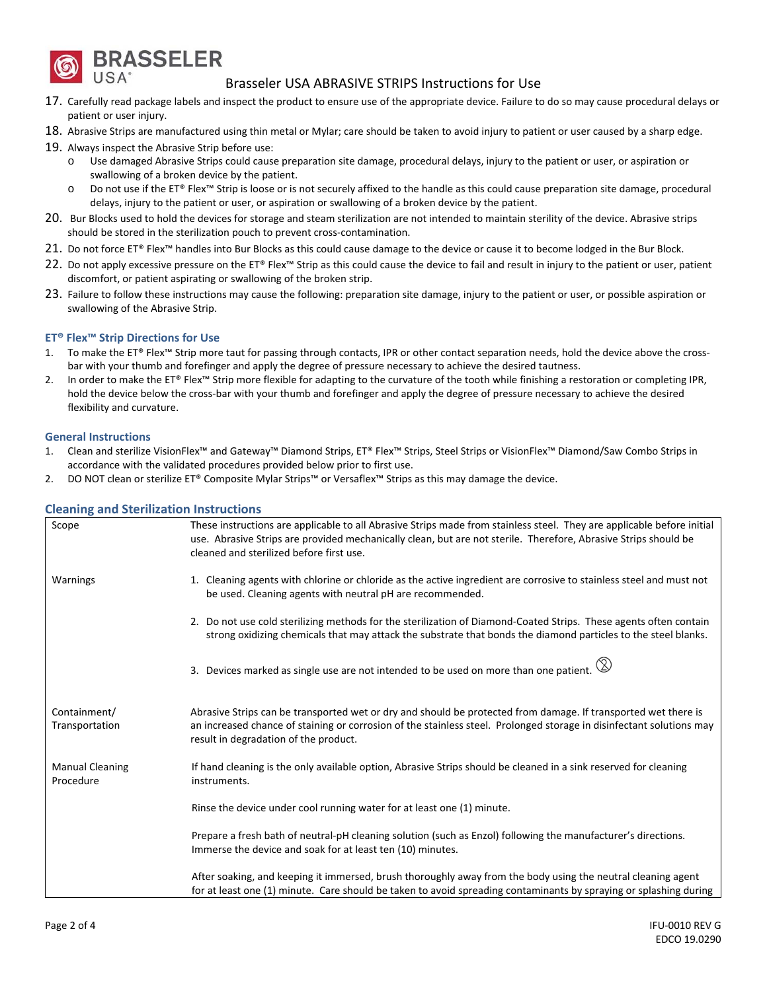

# Brasseler USA ABRASIVE STRIPS Instructions for Use

- 17. Carefully read package labels and inspect the product to ensure use of the appropriate device. Failure to do so may cause procedural delays or patient or user injury.
- 18. Abrasive Strips are manufactured using thin metal or Mylar; care should be taken to avoid injury to patient or user caused by a sharp edge.
- 19. Always inspect the Abrasive Strip before use:
	- o Use damaged Abrasive Strips could cause preparation site damage, procedural delays, injury to the patient or user, or aspiration or swallowing of a broken device by the patient.
	- o Do not use if the ET® Flex™ Strip is loose or is not securely affixed to the handle as this could cause preparation site damage, procedural delays, injury to the patient or user, or aspiration or swallowing of a broken device by the patient.
- 20. Bur Blocks used to hold the devices for storage and steam sterilization are not intended to maintain sterility of the device. Abrasive strips should be stored in the sterilization pouch to prevent cross-contamination.
- 21. Do not force ET® Flex™ handles into Bur Blocks as this could cause damage to the device or cause it to become lodged in the Bur Block.
- 22. Do not apply excessive pressure on the ET® Flex™ Strip as this could cause the device to fail and result in injury to the patient or user, patient discomfort, or patient aspirating or swallowing of the broken strip.
- 23. Failure to follow these instructions may cause the following: preparation site damage, injury to the patient or user, or possible aspiration or swallowing of the Abrasive Strip.

## **ET® Flex™ Strip Directions for Use**

- To make the ET® Flex™ Strip more taut for passing through contacts, IPR or other contact separation needs, hold the device above the crossbar with your thumb and forefinger and apply the degree of pressure necessary to achieve the desired tautness.
- 2. In order to make the ET® Flex™ Strip more flexible for adapting to the curvature of the tooth while finishing a restoration or completing IPR, hold the device below the cross‐bar with your thumb and forefinger and apply the degree of pressure necessary to achieve the desired flexibility and curvature.

## **General Instructions**

- 1. Clean and sterilize VisionFlex™ and Gateway™ Diamond Strips, ET® Flex™ Strips, Steel Strips or VisionFlex™ Diamond/Saw Combo Strips in accordance with the validated procedures provided below prior to first use.
- 2. DO NOT clean or sterilize ET® Composite Mylar Strips™ or Versaflex™ Strips as this may damage the device.

| Scope                               | These instructions are applicable to all Abrasive Strips made from stainless steel. They are applicable before initial<br>use. Abrasive Strips are provided mechanically clean, but are not sterile. Therefore, Abrasive Strips should be<br>cleaned and sterilized before first use. |  |
|-------------------------------------|---------------------------------------------------------------------------------------------------------------------------------------------------------------------------------------------------------------------------------------------------------------------------------------|--|
| Warnings                            | 1. Cleaning agents with chlorine or chloride as the active ingredient are corrosive to stainless steel and must not<br>be used. Cleaning agents with neutral pH are recommended.                                                                                                      |  |
|                                     | 2. Do not use cold sterilizing methods for the sterilization of Diamond-Coated Strips. These agents often contain<br>strong oxidizing chemicals that may attack the substrate that bonds the diamond particles to the steel blanks.                                                   |  |
|                                     | 3. Devices marked as single use are not intended to be used on more than one patient. $\circledS$                                                                                                                                                                                     |  |
| Containment/<br>Transportation      | Abrasive Strips can be transported wet or dry and should be protected from damage. If transported wet there is<br>an increased chance of staining or corrosion of the stainless steel. Prolonged storage in disinfectant solutions may<br>result in degradation of the product.       |  |
| <b>Manual Cleaning</b><br>Procedure | If hand cleaning is the only available option, Abrasive Strips should be cleaned in a sink reserved for cleaning<br>instruments.                                                                                                                                                      |  |
|                                     | Rinse the device under cool running water for at least one (1) minute.                                                                                                                                                                                                                |  |
|                                     | Prepare a fresh bath of neutral-pH cleaning solution (such as Enzol) following the manufacturer's directions.<br>Immerse the device and soak for at least ten (10) minutes.                                                                                                           |  |
|                                     | After soaking, and keeping it immersed, brush thoroughly away from the body using the neutral cleaning agent<br>for at least one (1) minute. Care should be taken to avoid spreading contaminants by spraying or splashing during                                                     |  |

## **Cleaning and Sterilization Instructions**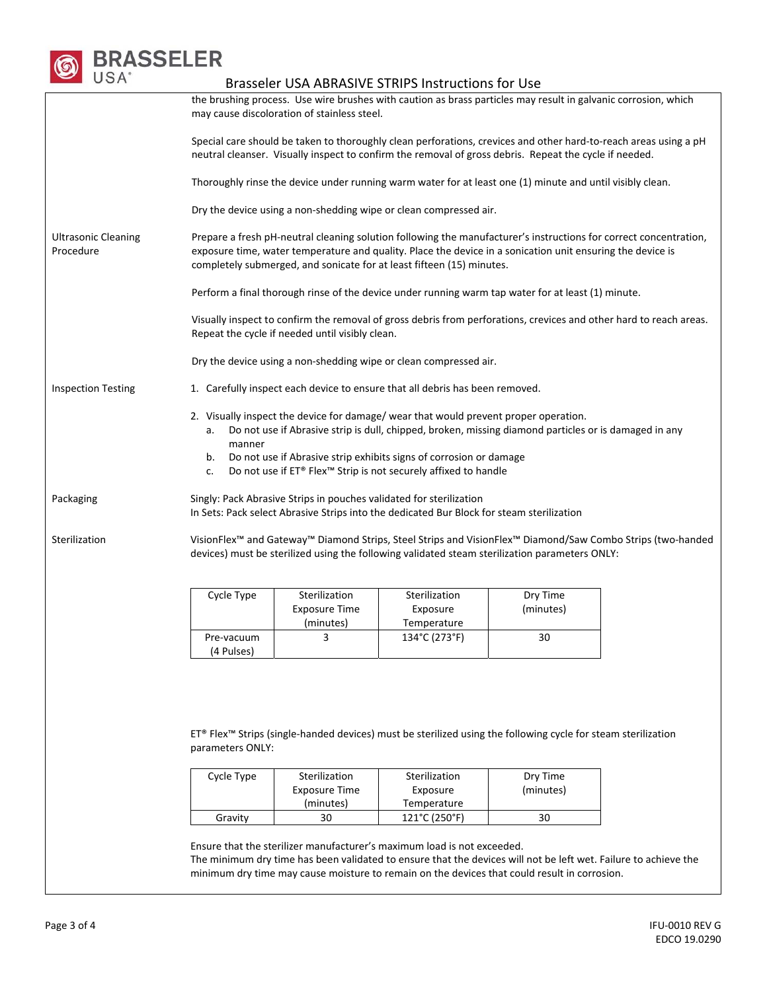

# Brasseler USA ABRASIVE STRIPS Instructions for Use the brushing process. Use wire brushes with caution as brass particles may result in galvanic corrosion, which may cause discoloration of stainless steel. Special care should be taken to thoroughly clean perforations, crevices and other hard‐to‐reach areas using a pH neutral cleanser. Visually inspect to confirm the removal of gross debris. Repeat the cycle if needed. Thoroughly rinse the device under running warm water for at least one (1) minute and until visibly clean. Dry the device using a non‐shedding wipe or clean compressed air. Ultrasonic Cleaning Procedure Prepare a fresh pH-neutral cleaning solution following the manufacturer's instructions for correct concentration, exposure time, water temperature and quality. Place the device in a sonication unit ensuring the device is completely submerged, and sonicate for at least fifteen (15) minutes. Perform a final thorough rinse of the device under running warm tap water for at least (1) minute. Visually inspect to confirm the removal of gross debris from perforations, crevices and other hard to reach areas. Repeat the cycle if needed until visibly clean. Dry the device using a non‐shedding wipe or clean compressed air. Inspection Testing 1. Carefully inspect each device to ensure that all debris has been removed. 2. Visually inspect the device for damage/ wear that would prevent proper operation. a. Do not use if Abrasive strip is dull, chipped, broken, missing diamond particles or is damaged in any manner b. Do not use if Abrasive strip exhibits signs of corrosion or damage c. Do not use if ET® Flex™ Strip is not securely affixed to handle Packaging Singly: Pack Abrasive Strips in pouches validated for sterilization In Sets: Pack select Abrasive Strips into the dedicated Bur Block for steam sterilization Sterilization VisionFlex™ and Gateway™ Diamond Strips, Steel Strips and VisionFlex™ Diamond/Saw Combo Strips (two‐handed devices) must be sterilized using the following validated steam sterilization parameters ONLY: Cycle Type Sterilization Exposure Time (minutes) Sterilization Exposure Temperature Dry Time (minutes) Pre‐vacuum (4 Pulses) 3  $134^{\circ}C(273^{\circ}F)$  30 ET® Flex™ Strips (single‐handed devices) must be sterilized using the following cycle for steam sterilization parameters ONLY:

| Cycle Type | Sterilization | Sterilization | Dry Time  |
|------------|---------------|---------------|-----------|
|            | Exposure Time | Exposure      | (minutes) |
|            | (minutes)     | Temperature   |           |
| Gravity    | 30            | 121°C (250°F) | 30        |

Ensure that the sterilizer manufacturer's maximum load is not exceeded. The minimum dry time has been validated to ensure that the devices will not be left wet. Failure to achieve the minimum dry time may cause moisture to remain on the devices that could result in corrosion.